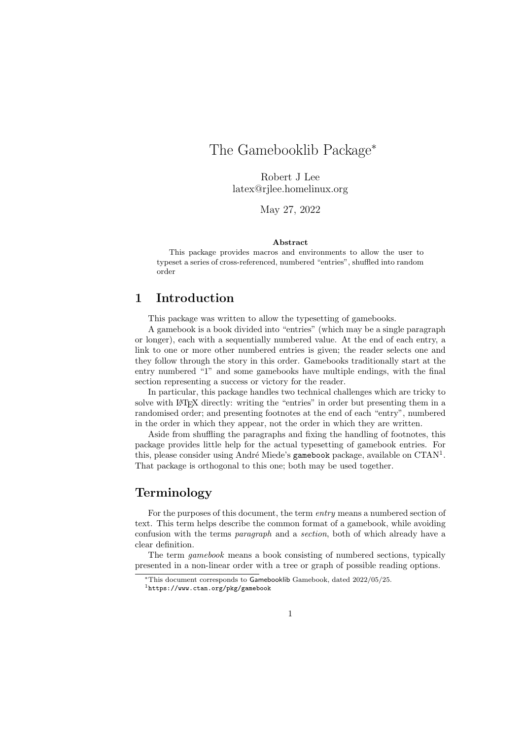# The Gamebooklib Package<sup>∗</sup>

Robert J Lee latex@rjlee.homelinux.org

May 27, 2022

#### Abstract

This package provides macros and environments to allow the user to typeset a series of cross-referenced, numbered "entries", shuffled into random order

# 1 Introduction

This package was written to allow the typesetting of gamebooks.

A gamebook is a book divided into "entries" (which may be a single paragraph or longer), each with a sequentially numbered value. At the end of each entry, a link to one or more other numbered entries is given; the reader selects one and they follow through the story in this order. Gamebooks traditionally start at the entry numbered "1" and some gamebooks have multiple endings, with the final section representing a success or victory for the reader.

In particular, this package handles two technical challenges which are tricky to solve with LATEX directly: writing the "entries" in order but presenting them in a randomised order; and presenting footnotes at the end of each "entry", numbered in the order in which they appear, not the order in which they are written.

Aside from shuffling the paragraphs and fixing the handling of footnotes, this package provides little help for the actual typesetting of gamebook entries. For this, please consider using André Miede's gamebook package, available on CTAN<sup>1</sup>. That package is orthogonal to this one; both may be used together.

## Terminology

For the purposes of this document, the term entry means a numbered section of text. This term helps describe the common format of a gamebook, while avoiding confusion with the terms paragraph and a section, both of which already have a clear definition.

The term gamebook means a book consisting of numbered sections, typically presented in a non-linear order with a tree or graph of possible reading options.

<sup>∗</sup>This document corresponds to Gamebooklib Gamebook, dated 2022/05/25.

<sup>1</sup>https://www.ctan.org/pkg/gamebook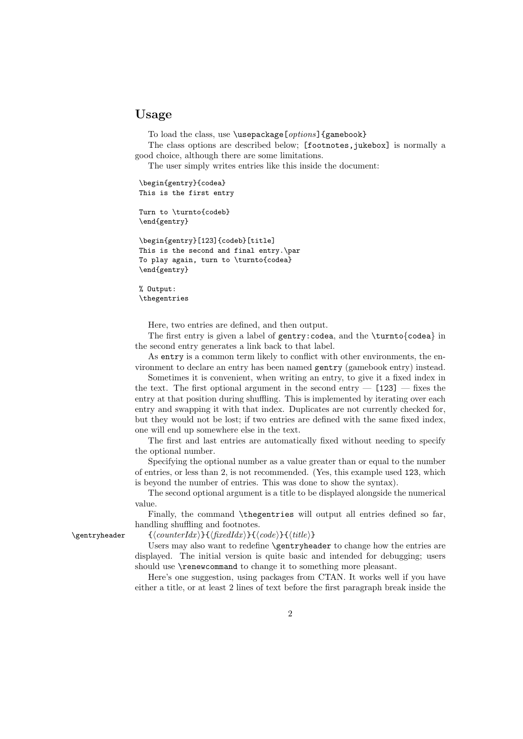## Usage

To load the class, use \usepackage[options]{gamebook}

The class options are described below; [footnotes, jukebox] is normally a good choice, although there are some limitations.

The user simply writes entries like this inside the document:

```
\begin{gentry}{codea}
This is the first entry
```
Turn to \turnto{codeb} \end{gentry}

```
\begin{gentry}[123]{codeb}[title]
This is the second and final entry.\par
To play again, turn to \turnto{codea}
\end{gentry}
```
% Output: \thegentries

Here, two entries are defined, and then output.

The first entry is given a label of gentry:codea, and the \turnto{codea} in the second entry generates a link back to that label.

As entry is a common term likely to conflict with other environments, the environment to declare an entry has been named gentry (gamebook entry) instead.

Sometimes it is convenient, when writing an entry, to give it a fixed index in the text. The first optional argument in the second entry  $-$  [123]  $-$  fixes the entry at that position during shuffling. This is implemented by iterating over each entry and swapping it with that index. Duplicates are not currently checked for, but they would not be lost; if two entries are defined with the same fixed index, one will end up somewhere else in the text.

The first and last entries are automatically fixed without needing to specify the optional number.

Specifying the optional number as a value greater than or equal to the number of entries, or less than 2, is not recommended. (Yes, this example used 123, which is beyond the number of entries. This was done to show the syntax).

The second optional argument is a title to be displayed alongside the numerical value.

Finally, the command \thegentries will output all entries defined so far, handling shuffling and footnotes.

 $\verb|\gentryheader| {counterIdx}{f(xedIdx}{\code}{t(title)}$ 

Users may also want to redefine \gentryheader to change how the entries are displayed. The initial version is quite basic and intended for debugging; users should use **\renewcommand** to change it to something more pleasant.

Here's one suggestion, using packages from CTAN. It works well if you have either a title, or at least 2 lines of text before the first paragraph break inside the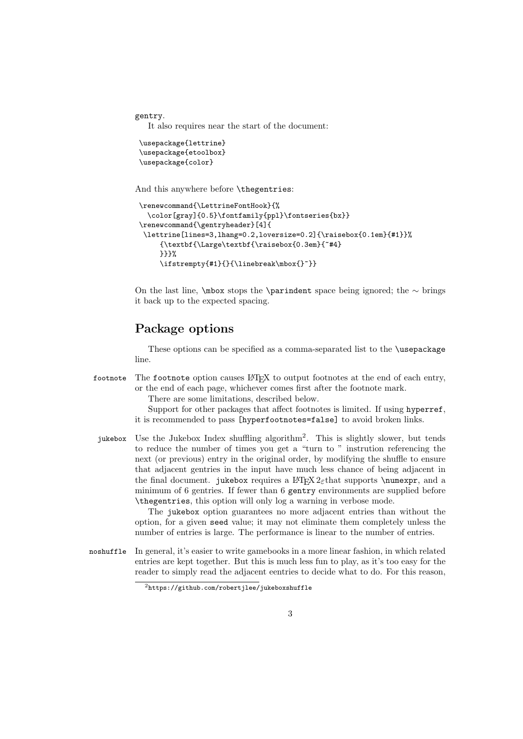gentry.

It also requires near the start of the document:

```
\usepackage{lettrine}
\usepackage{etoolbox}
\usepackage{color}
```
And this anywhere before \thegentries:

```
\renewcommand{\LettrineFontHook}{%
 \color[gray]{0.5}\fontfamily{ppl}\fontseries{bx}}
\renewcommand{\gentryheader}[4]{
\lettrine[lines=3,lhang=0.2,loversize=0.2]{\raisebox{0.1em}{#1}}%
     {\textbf{\Large\textbf{\raisebox{0.3em}{~#4}
    }}}%
     \ifstrempty{#1}{}{\linebreak\mbox{}~}}
```
On the last line,  $\mathcal{D}$  stops the  $\partial$  barindent space being ignored; the ∼ brings it back up to the expected spacing.

# Package options

These options can be specified as a comma-separated list to the \usepackage line.

footnote The footnote option causes LATEX to output footnotes at the end of each entry, or the end of each page, whichever comes first after the footnote mark.

There are some limitations, described below.

Support for other packages that affect footnotes is limited. If using hyperref, it is recommended to pass [hyperfootnotes=false] to avoid broken links.

jukebox Use the Jukebox Index shuffling algorithm<sup>2</sup>. This is slightly slower, but tends to reduce the number of times you get a "turn to " instrution referencing the next (or previous) entry in the original order, by modifying the shuffle to ensure that adjacent gentries in the input have much less chance of being adjacent in the final document. jukebox requires a LATEX  $2 \epsilon$  that supports **\numexpr**, and a minimum of 6 gentries. If fewer than 6 gentry environments are supplied before \thegentries, this option will only log a warning in verbose mode.

> The jukebox option guarantees no more adjacent entries than without the option, for a given seed value; it may not eliminate them completely unless the number of entries is large. The performance is linear to the number of entries.

noshuffle In general, it's easier to write gamebooks in a more linear fashion, in which related entries are kept together. But this is much less fun to play, as it's too easy for the reader to simply read the adjacent eentries to decide what to do. For this reason,

<sup>2</sup>https://github.com/robertjlee/jukeboxshuffle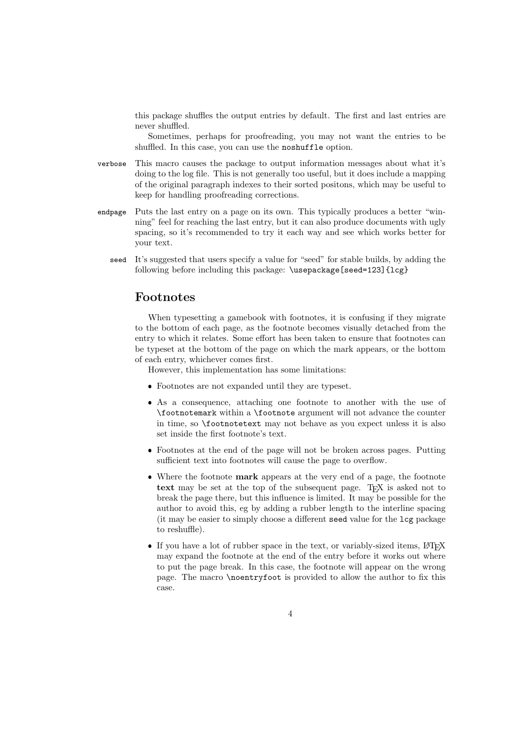this package shuffles the output entries by default. The first and last entries are never shuffled.

Sometimes, perhaps for proofreading, you may not want the entries to be shuffled. In this case, you can use the noshuffle option.

- verbose This macro causes the package to output information messages about what it's doing to the log file. This is not generally too useful, but it does include a mapping of the original paragraph indexes to their sorted positons, which may be useful to keep for handling proofreading corrections.
- endpage Puts the last entry on a page on its own. This typically produces a better "winning" feel for reaching the last entry, but it can also produce documents with ugly spacing, so it's recommended to try it each way and see which works better for your text.
	- seed It's suggested that users specify a value for "seed" for stable builds, by adding the following before including this package: \usepackage[seed=123]{lcg}

### Footnotes

When typesetting a gamebook with footnotes, it is confusing if they migrate to the bottom of each page, as the footnote becomes visually detached from the entry to which it relates. Some effort has been taken to ensure that footnotes can be typeset at the bottom of the page on which the mark appears, or the bottom of each entry, whichever comes first.

However, this implementation has some limitations:

- Footnotes are not expanded until they are typeset.
- As a consequence, attaching one footnote to another with the use of \footnotemark within a \footnote argument will not advance the counter in time, so \footnotetext may not behave as you expect unless it is also set inside the first footnote's text.
- Footnotes at the end of the page will not be broken across pages. Putting sufficient text into footnotes will cause the page to overflow.
- Where the footnote mark appears at the very end of a page, the footnote text may be set at the top of the subsequent page. TEX is asked not to break the page there, but this influence is limited. It may be possible for the author to avoid this, eg by adding a rubber length to the interline spacing (it may be easier to simply choose a different seed value for the lcg package to reshuffle).
- $\bullet\,$  If you have a lot of rubber space in the text, or variably-sized items, LATEX may expand the footnote at the end of the entry before it works out where to put the page break. In this case, the footnote will appear on the wrong page. The macro \noentryfoot is provided to allow the author to fix this case.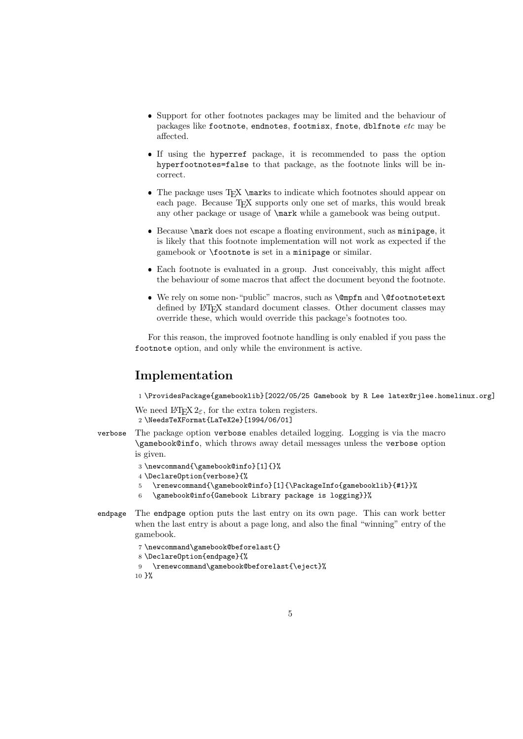- Support for other footnotes packages may be limited and the behaviour of packages like footnote, endnotes, footmisx, fnote, dblfnote etc may be affected.
- If using the hyperref package, it is recommended to pass the option hyperfootnotes=false to that package, as the footnote links will be incorrect.
- $\bullet\,$  The package uses TEX \marks to indicate which footnotes should appear on each page. Because T<sub>E</sub>X supports only one set of marks, this would break any other package or usage of \mark while a gamebook was being output.
- Because \mark does not escape a floating environment, such as minipage, it is likely that this footnote implementation will not work as expected if the gamebook or \footnote is set in a minipage or similar.
- Each footnote is evaluated in a group. Just conceivably, this might affect the behaviour of some macros that affect the document beyond the footnote.
- We rely on some non-"public" macros, such as \@mpfn and \@footnotetext defined by LATEX standard document classes. Other document classes may override these, which would override this package's footnotes too.

For this reason, the improved footnote handling is only enabled if you pass the footnote option, and only while the environment is active.

# Implementation

1 \ProvidesPackage{gamebooklib}[2022/05/25 Gamebook by R Lee latex@rjlee.homelinux.org]

We need  $\text{LATEX } 2<sub>\epsilon</sub>$ , for the extra token registers. 2 \NeedsTeXFormat{LaTeX2e}[1994/06/01]

verbose The package option verbose enables detailed logging. Logging is via the macro \gamebook@info, which throws away detail messages unless the verbose option is given.

```
3 \newcommand{\gamebook@info}[1]{}%
```

```
4 \DeclareOption{verbose}{%
```
- 5 \renewcommand{\gamebook@info}[1]{\PackageInfo{gamebooklib}{#1}}%
- 6 \gamebook@info{Gamebook Library package is logging}}%
- endpage The endpage option puts the last entry on its own page. This can work better when the last entry is about a page long, and also the final "winning" entry of the gamebook.

```
7 \newcommand\gamebook@beforelast{}
8 \DeclareOption{endpage}{%
9 \renewcommand\gamebook@beforelast{\eject}%
10 }%
```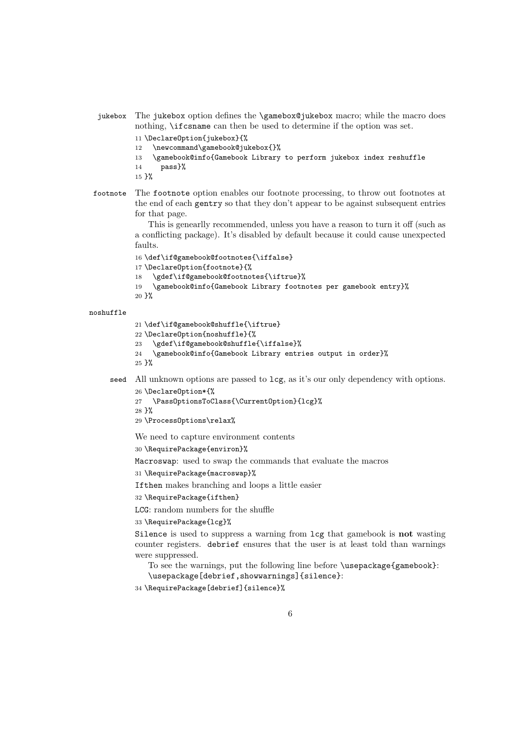```
jukebox The jukebox option defines the \gamebox@jukebox macro; while the macro does
           nothing, \ifcsname can then be used to determine if the option was set.
           11 \DeclareOption{jukebox}{%
           12 \newcommand\gamebook@jukebox{}%
           13 \gamebook@info{Gamebook Library to perform jukebox index reshuffle
           14 pass}%
           15 }%
footnote The footnote option enables our footnote processing, to throw out footnotes at
           the end of each gentry so that they don't appear to be against subsequent entries
           for that page.
              This is genearlly recommended, unless you have a reason to turn it off (such as
           a conflicting package). It's disabled by default because it could cause unexpected
           faults.
           16 \def\if@gamebook@footnotes{\iffalse}
           17 \DeclareOption{footnote}{%
           18 \gdef\if@gamebook@footnotes{\iftrue}%
           19 \gamebook@info{Gamebook Library footnotes per gamebook entry}%
           20 }%
noshuffle
           21 \def\if@gamebook@shuffle{\iftrue}
           22 \DeclareOption{noshuffle}{%
           23 \gdef\if@gamebook@shuffle{\iffalse}%
           24 \gamebook@info{Gamebook Library entries output in order}%
           25 }%
     seed All unknown options are passed to lcg, as it's our only dependency with options.
           26 \DeclareOption*{%
           27 \PassOptionsToClass{\CurrentOption}{lcg}%
           28 }%
           29 \ProcessOptions\relax%
           We need to capture environment contents
           30 \RequirePackage{environ}%
           Macroswap: used to swap the commands that evaluate the macros
           31 \RequirePackage{macroswap}%
           Ifthen makes branching and loops a little easier
           32 \RequirePackage{ifthen}
           LCG: random numbers for the shuffle
           33 \RequirePackage{lcg}%
           Silence is used to suppress a warning from lcg that gamebook is not wasting
           counter registers. debrief ensures that the user is at least told than warnings
           were suppressed.
              To see the warnings, put the following line before \usepackage{gamebook}:
              \usepackage[debrief,showwarnings]{silence}:
           34 \RequirePackage[debrief]{silence}%
```

```
6
```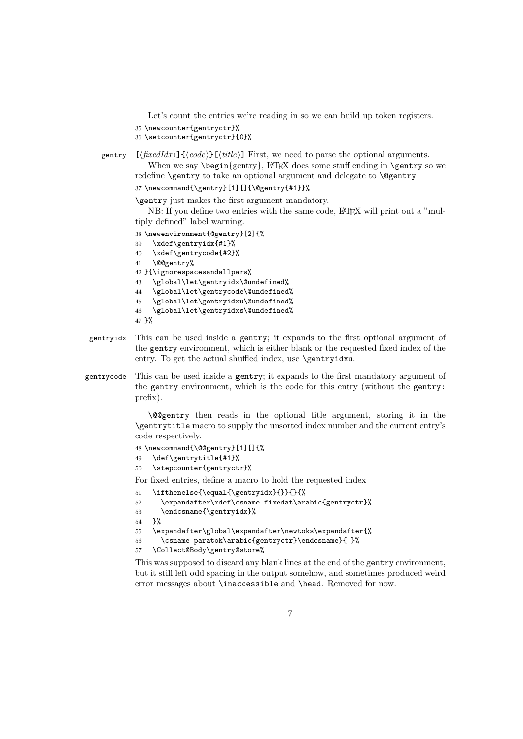Let's count the entries we're reading in so we can build up token registers. 35 \newcounter{gentryctr}%

```
36 \setcounter{gentryctr}{0}%
```

```
gentry [\langle \text{fixedIdx} \rangle] \{ \langle \text{code} \rangle \} [\langle \text{title} \rangle] First, we need to parse the optional arguments.
                 When we say \begin{array}{c} \text{When we say } \begin{array}{c} \text{When we say } \end{array} \end{array}redefine \gentry to take an optional argument and delegate to \@gentry
```
37 \newcommand{\gentry}[1][]{\@gentry{#1}}%

\gentry just makes the first argument mandatory.

NB: If you define two entries with the same code, LAT<sub>EX</sub> will print out a "multiply defined" label warning.

```
38 \newenvironment{@gentry}[2]{%
```

```
39 \xdef\gentryidx{#1}%
40 \xdef\gentrycode{#2}%
41 \@@gentry%
42 }{\ignorespacesandallpars%
43 \global\let\gentryidx\@undefined%
44 \global\let\gentrycode\@undefined%
45 \global\let\gentryidxu\@undefined%
46 \global\let\gentryidxs\@undefined%
47 }%
```
- gentryidx This can be used inside a gentry; it expands to the first optional argument of the gentry environment, which is either blank or the requested fixed index of the entry. To get the actual shuffled index, use **\gentryidxu**.
- gentrycode This can be used inside a gentry; it expands to the first mandatory argument of the gentry environment, which is the code for this entry (without the gentry: prefix).

\@@gentry then reads in the optional title argument, storing it in the \gentrytitle macro to supply the unsorted index number and the current entry's code respectively.

```
48 \newcommand{\@@gentry}[1][]{%
49 \def\gentrytitle{#1}%
50 \stepcounter{gentryctr}%
```
For fixed entries, define a macro to hold the requested index

51 \ifthenelse{\equal{\gentryidx}{}}{}{%

```
52 \expandafter\xdef\csname fixedat\arabic{gentryctr}%
53 \endcsname{\gentryidx}%
```
54 }%

```
55 \expandafter\global\expandafter\newtoks\expandafter{%
```

```
56 \csname paratok\arabic{gentryctr}\endcsname}{ }%
```
57 \Collect@Body\gentry@store%

This was supposed to discard any blank lines at the end of the gentry environment, but it still left odd spacing in the output somehow, and sometimes produced weird error messages about \inaccessible and \head. Removed for now.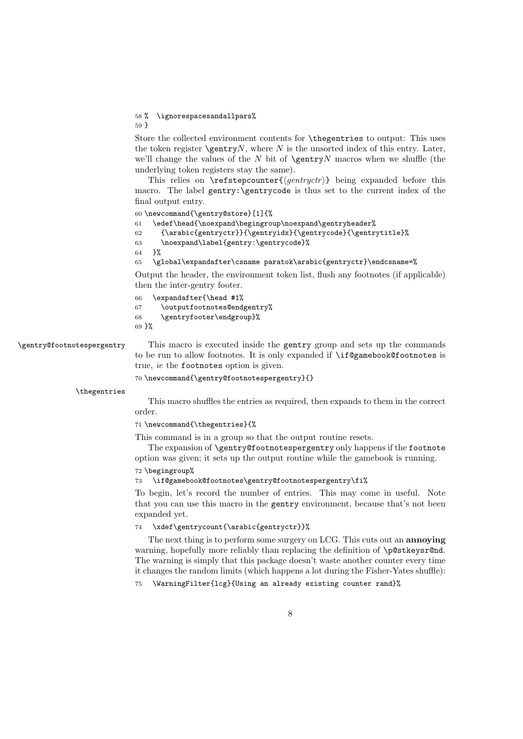#### 58 % \ignorespacesandallpars%

59 }

Store the collected environment contents for \thegentries to output: This uses the token register  $\qquad$ gentry $N$ , where  $N$  is the unsorted index of this entry. Later, we'll change the values of the  $N$  bit of  $\sqrt{\sqrt{N}}$  macros when we shuffle (the underlying token registers stay the same).

This relies on  $\ref{\gen{1}{}\}$  being expanded before this macro. The label gentry:\gentrycode is thus set to the current index of the final output entry.

60 \newcommand{\gentry@store}[1]{%

```
61 \edef\head{\noexpand\begingroup\noexpand\gentryheader%
```

```
62 {\arabic{gentryctr}}{\gentryidx}{\gentrycode}{\gentrytitle}%
```

```
63 \noexpand\label{gentry:\gentrycode}%
```
64 }%

65 \global\expandafter\csname paratok\arabic{gentryctr}\endcsname=%

Output the header, the environment token list, flush any footnotes (if applicable) then the inter-gentry footer.

```
66 \expandafter{\head #1%
```

```
67 \outputfootnotes@endgentry%
```

```
68 \gentryfooter\endgroup}%
69 }%
```
\gentry@footnotespergentry This macro is executed inside the gentry group and sets up the commands to be run to allow footnotes. It is only expanded if \if@gamebook@footnotes is true, ie the footnotes option is given.

70 \newcommand{\gentry@footnotespergentry}{}

\thegentries

This macro shuffles the entries as required, then expands to them in the correct order.

71 \newcommand{\thegentries}{%

This command is in a group so that the output routine resets.

The expansion of \gentry@footnotespergentry only happens if the footnote option was given; it sets up the output routine while the gamebook is running.

72 \begingroup%

### 73 \if@gamebook@footnotes\gentry@footnotespergentry\fi%

To begin, let's record the number of entries. This may come in useful. Note that you can use this macro in the gentry environment, because that's not been expanded yet.

#### 74 \xdef\gentrycount{\arabic{gentryctr}}%

The next thing is to perform some surgery on LCG. This cuts out an **annoving** warning, hopefully more reliably than replacing the definition of \p@stkeysr@nd. The warning is simply that this package doesn't waste another counter every time it changes the random limits (which happens a lot during the Fisher-Yates shuffle):

75 \WarningFilter{lcg}{Using an already existing counter rand}%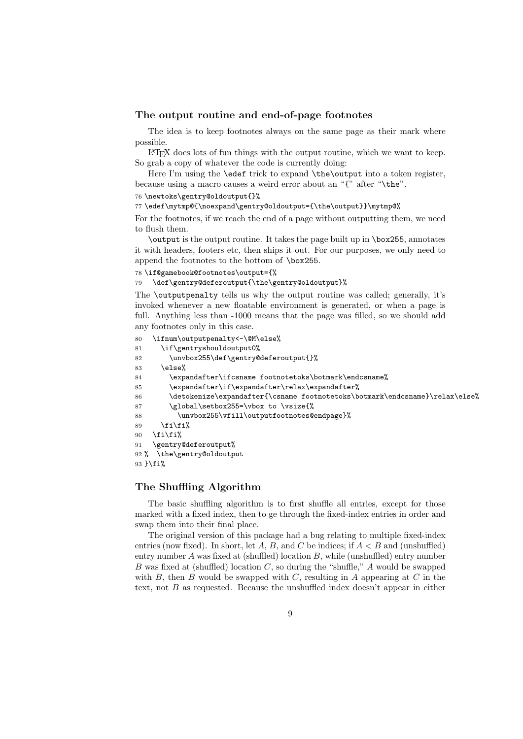#### The output routine and end-of-page footnotes

The idea is to keep footnotes always on the same page as their mark where possible.

LATEX does lots of fun things with the output routine, which we want to keep. So grab a copy of whatever the code is currently doing:

Here I'm using the **\edef** trick to expand **\the\output** into a token register, because using a macro causes a weird error about an "{" after "\the".

76 \newtoks\gentry@oldoutput{}%

77 \edef\mytmp@{\noexpand\gentry@oldoutput={\the\output}}\mytmp@%

For the footnotes, if we reach the end of a page without outputting them, we need to flush them.

\output is the output routine. It takes the page built up in \box255, annotates it with headers, footers etc, then ships it out. For our purposes, we only need to append the footnotes to the bottom of \box255.

78 \if@gamebook@footnotes\output={%

79 \def\gentry@deferoutput{\the\gentry@oldoutput}%

The \outputpenalty tells us why the output routine was called; generally, it's invoked whenever a new floatable environment is generated, or when a page is full. Anything less than -1000 means that the page was filled, so we should add any footnotes only in this case.

80 \ifnum\outputpenalty<-\@M\else%

81 \if\gentryshouldoutput0%

82 \unvbox255\def\gentry@deferoutput{}%

 $83 \qquad \text{leless}$ 

84 \expandafter\ifcsname footnotetoks\botmark\endcsname%

- 85 \expandafter\if\expandafter\relax\expandafter%
- 86 \detokenize\expandafter{\csname footnotetoks\botmark\endcsname}\relax\else%
- 87 \global\setbox255=\vbox to \vsize{%
- 88 \unvbox255\vfill\outputfootnotes@endpage}%
- 89  $\tilde{\iota}$

```
90 \tilde{i}\
```

```
91 \gentry@deferoutput%
```

```
92 % \the\gentry@oldoutput
```
93 }\fi%

### The Shuffling Algorithm

The basic shuffling algorithm is to first shuffle all entries, except for those marked with a fixed index, then to ge through the fixed-index entries in order and swap them into their final place.

The original version of this package had a bug relating to multiple fixed-index entries (now fixed). In short, let A, B, and C be indices; if  $A < B$  and (unshuffled) entry number  $A$  was fixed at (shuffled) location  $B$ , while (unshuffled) entry number B was fixed at (shuffled) location  $C$ , so during the "shuffle," A would be swapped with  $B$ , then  $B$  would be swapped with  $C$ , resulting in  $A$  appearing at  $C$  in the text, not  $B$  as requested. Because the unshuffled index doesn't appear in either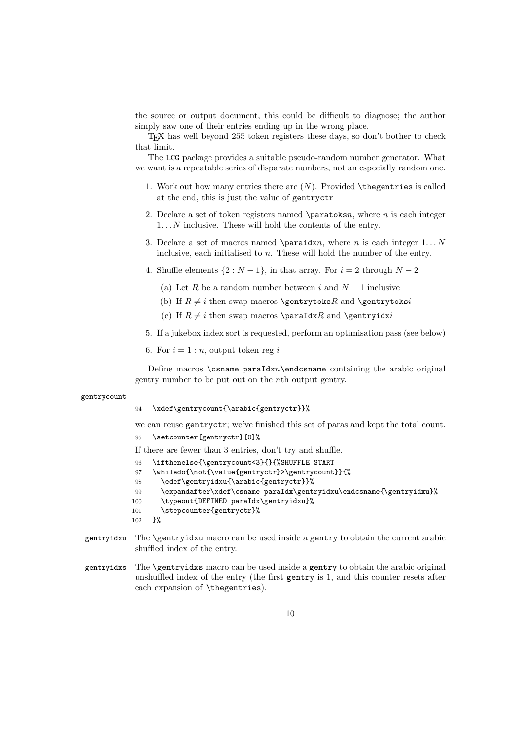the source or output document, this could be difficult to diagnose; the author simply saw one of their entries ending up in the wrong place.

TEX has well beyond 255 token registers these days, so don't bother to check that limit.

The LCG package provides a suitable pseudo-random number generator. What we want is a repeatable series of disparate numbers, not an especially random one.

- 1. Work out how many entries there are  $(N)$ . Provided  $\theta$  thegentries is called at the end, this is just the value of gentryctr
- 2. Declare a set of token registers named  $\partial x$ , where n is each integer  $1... N$  inclusive. These will hold the contents of the entry.
- 3. Declare a set of macros named \paraidxn, where n is each integer  $1...N$ inclusive, each initialised to  $n$ . These will hold the number of the entry.
- 4. Shuffle elements  $\{2 : N-1\}$ , in that array. For  $i = 2$  through  $N-2$ 
	- (a) Let R be a random number between i and  $N-1$  inclusive
	- (b) If  $R \neq i$  then swap macros \gentrytoksR and \gentrytoksi
	- (c) If  $R \neq i$  then swap macros \paraIdxR and \gentryidxi
- 5. If a jukebox index sort is requested, perform an optimisation pass (see below)

6. For  $i = 1:n$ , output token reg i

Define macros  $\cosh$  paraIdxn $\end{math}$ endcsname containing the arabic original gentry number to be put out on the nth output gentry.

#### gentrycount

94 \xdef\gentrycount{\arabic{gentryctr}}%

we can reuse gentryctr; we've finished this set of paras and kept the total count.

95 \setcounter{gentryctr}{0}%

If there are fewer than 3 entries, don't try and shuffle.

- 96 \ifthenelse{\gentrycount<3}{}{%SHUFFLE START
- 97 \whiledo{\not{\value{gentryctr}>\gentrycount}}{%
- 98 \edef\gentryidxu{\arabic{gentryctr}}%
- 99 \expandafter\xdef\csname paraIdx\gentryidxu\endcsname{\gentryidxu}%
- 100 \typeout{DEFINED paraIdx\gentryidxu}%
- 101 \stepcounter{gentryctr}%
- 102 }%
- gentryidxu The \gentryidxu macro can be used inside a gentry to obtain the current arabic shuffled index of the entry.
- gentryidxs The \gentryidxs macro can be used inside a gentry to obtain the arabic original unshuffled index of the entry (the first gentry is 1, and this counter resets after each expansion of \thegentries).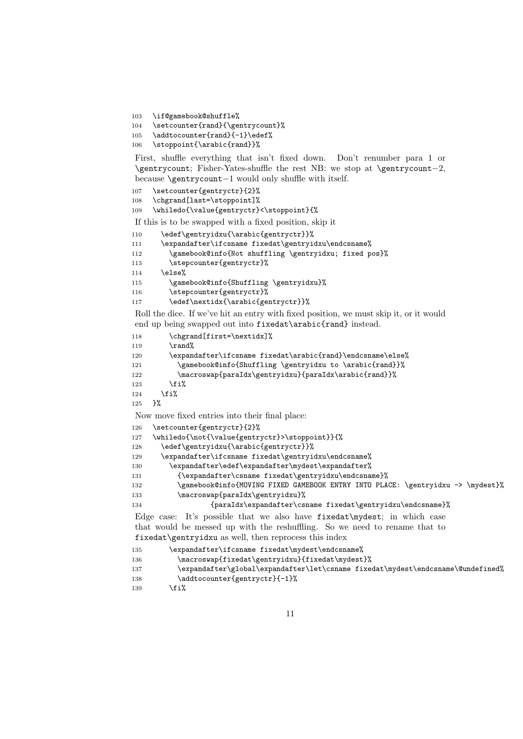103 \if@gamebook@shuffle%

```
104 \setcounter{rand}{\gentrycount}%
```

```
105 \addtocounter{rand}{-1}\edef%
```
106 \stoppoint{\arabic{rand}}%

First, shuffle everything that isn't fixed down. Don't renumber para 1 or \gentrycount; Fisher-Yates-shuffle the rest NB: we stop at \gentrycount−2, because \gentrycount−1 would only shuffle with itself.

```
107 \setcounter{gentryctr}{2}%
```
108 \chgrand[last=\stoppoint]%

```
109 \whiledo{\value{gentryctr}<\stoppoint}{%
```
If this is to be swapped with a fixed position, skip it

```
110 \edef\gentryidxu{\arabic{gentryctr}}%
```

```
111 \expandafter\ifcsname fixedat\gentryidxu\endcsname%
```
112 \gamebook@info{Not shuffling \gentryidxu; fixed pos}%

```
113 \stepcounter{gentryctr}%
```
114 \else%

```
115 \gamebook@info{Shuffling \gentryidxu}%
```
116 \stepcounter{gentryctr}%

117 \edef\nextidx{\arabic{gentryctr}}%

Roll the dice. If we've hit an entry with fixed position, we must skip it, or it would end up being swapped out into fixedat\arabic{rand} instead.

```
118 \chgrand[first=\nextidx]%
```

```
119 \qquad \text{Yand\%}
```

```
120 \expandafter\ifcsname fixedat\arabic{rand}\endcsname\else%
121 \gamebook@info{Shuffling \gentryidxu to \arabic{rand}}%
122 \macroswap{paraIdx\gentryidxu}{paraIdx\arabic{rand}}%
123 \qquad \text{If } i\%
```

```
124 \fi%
```
125 }%

Now move fixed entries into their final place:

```
126 \setcounter{gentryctr}{2}%
```

```
127 \whiledo{\not{\value{gentryctr}>\stoppoint}}{%
```

```
128 \edef\gentryidxu{\arabic{gentryctr}}%
```

```
129 \expandafter\ifcsname fixedat\gentryidxu\endcsname%
```

```
130 \expandafter\edef\expandafter\mydest\expandafter%
```

```
131 {\expandafter\csname fixedat\gentryidxu\endcsname}%
```

```
132 \gamebook@info{MOVING FIXED GAMEBOOK ENTRY INTO PLACE: \gentryidxu -> \mydest}%
133 \macroswap{paraIdx\gentryidxu}%
```
134 {paraIdx\expandafter\csname fixedat\gentryidxu\endcsname}%

Edge case: It's possible that we also have fixedat\mydest; in which case that would be messed up with the reshuffling. So we need to rename that to fixedat\gentryidxu as well, then reprocess this index

```
135 \expandafter\ifcsname fixedat\mydest\endcsname%
```

```
136 \macroswap{fixedat\gentryidxu}{fixedat\mydest}%
```

```
137 \expandafter\global\expandafter\let\csname fixedat\mydest\endcsname\@undefined%
138 \addtocounter{gentryctr}{-1}%
```

```
139 \fi%
```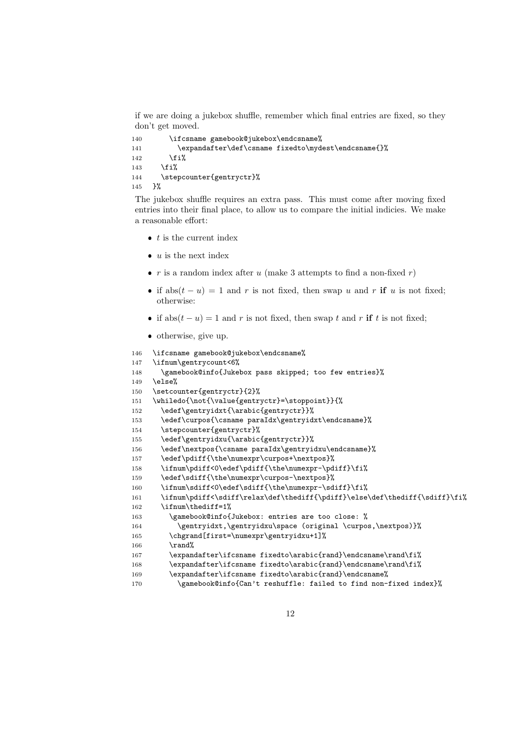if we are doing a jukebox shuffle, remember which final entries are fixed, so they don't get moved.

```
140 \ifcsname gamebook@jukebox\endcsname%
141 \expandafter\def\csname fixedto\mydest\endcsname{}%
142 \overrightarrow{12}143 \{f_i\}144 \stepcounter{gentryctr}%
145 }%
```
The jukebox shuffle requires an extra pass. This must come after moving fixed entries into their final place, to allow us to compare the initial indicies. We make a reasonable effort:

- $\bullet$  t is the current index
- $\bullet$  u is the next index
- $r$  is a random index after  $u$  (make 3 attempts to find a non-fixed  $r$ )
- if abs $(t u) = 1$  and r is not fixed, then swap u and r if u is not fixed; otherwise:
- if abs $(t u) = 1$  and r is not fixed, then swap t and r if t is not fixed;
- otherwise, give up.

```
146 \ifcsname gamebook@jukebox\endcsname%
147 \ifnum\gentrycount<6%
148 \gamebook@info{Jukebox pass skipped; too few entries}%
149 \else%
150 \setcounter{gentryctr}{2}%
151 \whiledo{\not{\value{gentryctr}=\stoppoint}}{%
152 \edef\gentryidxt{\arabic{gentryctr}}%
153 \edef\curpos{\csname paraIdx\gentryidxt\endcsname}%
154 \stepcounter{gentryctr}%
155 \edef\gentryidxu{\arabic{gentryctr}}%
156 \edef\nextpos{\csname paraIdx\gentryidxu\endcsname}%
157 \edef\pdiff{\the\numexpr\curpos+\nextpos}%
158 \ifnum\pdiff<0\edef\pdiff{\the\numexpr-\pdiff}\fi%
159 \edef\sdiff{\the\numexpr\curpos-\nextpos}%
160 \ifnum\sdiff<0\edef\sdiff{\the\numexpr-\sdiff}\fi%
161 \ifnum\pdiff<\sdiff\relax\def\thediff{\pdiff}\else\def\thediff{\sdiff}\fi%
162 \ifnum\thediff=1%
163 \gamebook@info{Jukebox: entries are too close: %
164 \gentryidxt,\gentryidxu\space (original \curpos,\nextpos)}%
165 \chgrand[first=\numexpr\gentryidxu+1]%
166 \text{vand}167 \expandafter\ifcsname fixedto\arabic{rand}\endcsname\rand\fi%
168 \expandafter\ifcsname fixedto\arabic{rand}\endcsname\rand\fi%
169 \expandafter\ifcsname fixedto\arabic{rand}\endcsname%
170 \gamebook@info{Can't reshuffle: failed to find non-fixed index}%
```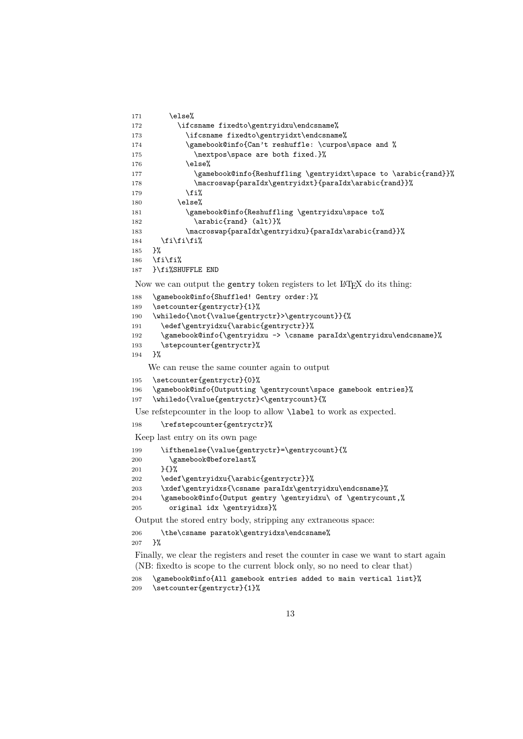```
171 \else%
172 \ifcsname fixedto\gentryidxu\endcsname%
173 \ifcsname fixedto\gentryidxt\endcsname%
174 \gamebook@info{Can't reshuffle: \curpos\space and %
175 \nextpos\space are both fixed.}%
176 \else%
177 \gamebook@info{Reshuffling \gentryidxt\space to \arabic{rand}}%
178 \macroswap{paraIdx\gentryidxt}{paraIdx\arabic{rand}}%
179 \quad \text{if } \mathbf{i}180 \else%
181 \gamebook@info{Reshuffling \gentryidxu\space to%
182 \arabic{rand} (alt)}%
183 \macroswap{paraIdx\gentryidxu}{paraIdx\arabic{rand}}%
184 \if{ififif?}185 }%
186 \fi\fi\
187 }\fi%SHUFFLE END
Now we can output the gentry token registers to let LAT<sub>EX</sub> do its thing:
188 \gamebook@info{Shuffled! Gentry order:}%
189 \setcounter{gentryctr}{1}%
190 \whiledo{\not{\value{gentryctr}>\gentrycount}}{%
191 \edef\gentryidxu{\arabic{gentryctr}}%
192 \gamebook@info{\gentryidxu -> \csname paraIdx\gentryidxu\endcsname}%
193 \stepcounter{gentryctr}%
194 }%
    We can reuse the same counter again to output
195 \setcounter{gentryctr}{0}%
196 \gamebook@info{Outputting \gentrycount\space gamebook entries}%
197 \whiledo{\value{gentryctr}<\gentrycount}{%
Use refstepcounter in the loop to allow \lambda abel to work as expected.
198 \refstepcounter{gentryctr}%
Keep last entry on its own page
199 \ifthenelse{\value{gentryctr}=\gentrycount}{%
200 \gamebook@beforelast%
201 }{}%
202 \edef\gentryidxu{\arabic{gentryctr}}%
203 \xdef\gentryidxs{\csname paraIdx\gentryidxu\endcsname}%
204 \gamebook@info{Output gentry \gentryidxu\ of \gentrycount,%
205 original idx \gentryidxs}%
Output the stored entry body, stripping any extraneous space:
206 \the\csname paratok\gentryidxs\endcsname%
207 }%
Finally, we clear the registers and reset the counter in case we want to start again
```
(NB: fixedto is scope to the current block only, so no need to clear that)

```
208 \gamebook@info{All gamebook entries added to main vertical list}%
209 \setcounter{gentryctr}{1}%
```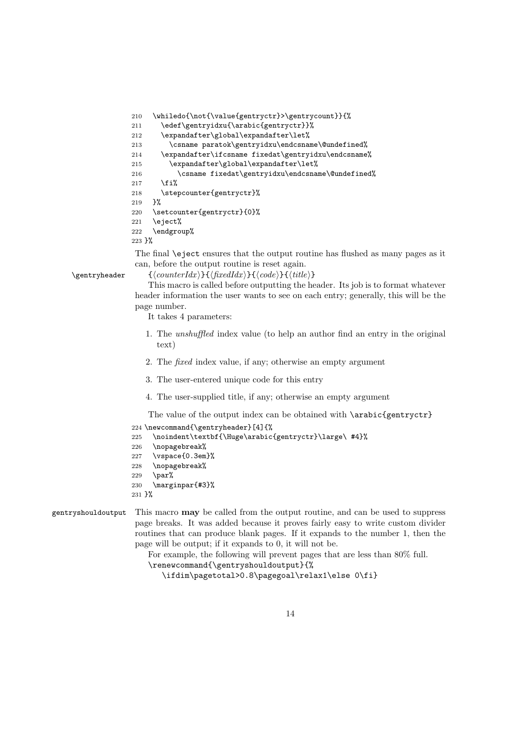```
210 \whiledo{\not{\value{gentryctr}>\gentrycount}}{%
211 \edef\gentryidxu{\arabic{gentryctr}}%
212 \expandafter\global\expandafter\let%
213 \csname paratok\gentryidxu\endcsname\@undefined%
214 \expandafter\ifcsname fixedat\gentryidxu\endcsname%
215 \expandafter\global\expandafter\let%
216 \csname fixedat\gentryidxu\endcsname\@undefined%
217 \fi'.
218 \stepcounter{gentryctr}%
219 }%
220 \setcounter{gentryctr}{0}%
221 \eject%
222 \endgroup%
223 }%
```
The final \eject ensures that the output routine has flushed as many pages as it can, before the output routine is reset again.

\gentryheader  ${\lbrace \text{counterIdx} \rbrace \lbrace \text{fixedIdx} \rbrace \lbrace \text{code}}{\lbrace \text{title} \rbrace}$ 

This macro is called before outputting the header. Its job is to format whatever header information the user wants to see on each entry; generally, this will be the page number.

It takes 4 parameters:

- 1. The unshuffled index value (to help an author find an entry in the original text)
- 2. The fixed index value, if any; otherwise an empty argument
- 3. The user-entered unique code for this entry
- 4. The user-supplied title, if any; otherwise an empty argument

The value of the output index can be obtained with  $\arabic{gentryctr}$ 

```
224 \newcommand{\gentryheader}[4]{%
```

```
225 \noindent\textbf{\Huge\arabic{gentryctr}\large\ #4}%
```

```
226 \nopagebreak%
```

```
227 \vspace{0.3em}%
```
- 228 \nopagebreak%
- 229 \par%
- 230 \marginpar{#3}%
- 231 }%

```
gentryshouldoutput This macro may be called from the output routine, and can be used to suppress
                     page breaks. It was added because it proves fairly easy to write custom divider
                     routines that can produce blank pages. If it expands to the number 1, then the
                     page will be output; if it expands to 0, it will not be.
```
For example, the following will prevent pages that are less than 80% full.

```
\renewcommand{\gentryshouldoutput}{%
```
\ifdim\pagetotal>0.8\pagegoal\relax1\else 0\fi}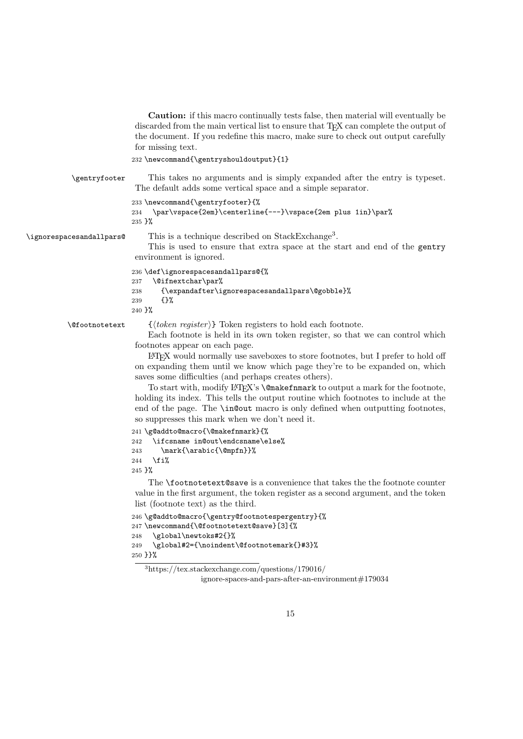Caution: if this macro continually tests false, then material will eventually be discarded from the main vertical list to ensure that TEX can complete the output of the document. If you redefine this macro, make sure to check out output carefully for missing text.

```
232 \newcommand{\gentryshouldoutput}{1}
```
\gentryfooter This takes no arguments and is simply expanded after the entry is typeset.

The default adds some vertical space and a simple separator. 233 \newcommand{\gentryfooter}{% 234 \par\vspace{2em}\centerline{---}\vspace{2em plus 1in}\par%

```
235 }%
```
\ignorespacesandallpars@ This is a technique described on  $\operatorname{StackExchange}$ <sup>3</sup>.

This is used to ensure that extra space at the start and end of the gentry environment is ignored.

```
236 \def\ignorespacesandallpars@{%
237 \@ifnextchar\par%
238 {\expandafter\ignorespacesandallpars\@gobble}%
239 {}%
240 }%
```
 $\{\langle token \; register \rangle\}$  Token registers to hold each footnote.

Each footnote is held in its own token register, so that we can control which footnotes appear on each page.

LATEX would normally use saveboxes to store footnotes, but I prefer to hold off on expanding them until we know which page they're to be expanded on, which saves some difficulties (and perhaps creates others).

To start with, modify LATEX's **\@makefnmark** to output a mark for the footnote, holding its index. This tells the output routine which footnotes to include at the end of the page. The \in@out macro is only defined when outputting footnotes, so suppresses this mark when we don't need it.

```
241 \g@addto@macro{\@makefnmark}{%
242 \ifcsname in@out\endcsname\else%
243 \mark{\arabic{\@mpfn}}%
244 \forallfi%
245 }%
```
The \footnotetext@save is a convenience that takes the the footnote counter value in the first argument, the token register as a second argument, and the token list (footnote text) as the third.

```
246 \g@addto@macro{\gentry@footnotespergentry}{%
247 \newcommand{\@footnotetext@save}[3]{%
248 \global\newtoks#2{}%
249 \global#2={\noindent\@footnotemark{}#3}%
250 }}%
```
<sup>3</sup>https://tex.stackexchange.com/questions/179016/

ignore-spaces-and-pars-after-an-environment#179034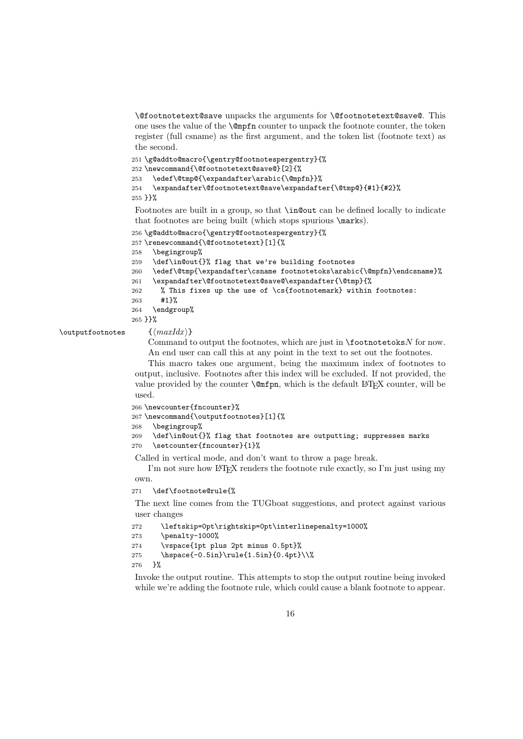\@footnotetext@save unpacks the arguments for \@footnotetext@save@. This one uses the value of the \@mpfn counter to unpack the footnote counter, the token register (full csname) as the first argument, and the token list (footnote text) as the second.

```
251 \g@addto@macro{\gentry@footnotespergentry}{%
252 \newcommand{\@footnotetext@save@}[2]{%
253 \edef\@tmp@{\expandafter\arabic{\@mpfn}}%
254 \expandafter\@footnotetext@save\expandafter{\@tmp@}{#1}{#2}%
255 }}%
```
Footnotes are built in a group, so that \in@out can be defined locally to indicate that footnotes are being built (which stops spurious \marks).

```
256 \g@addto@macro{\gentry@footnotespergentry}{%
257 \renewcommand{\@footnotetext}[1]{%
258 \begingroup%
259 \def\in@out{}% flag that we're building footnotes
260 \edef\@tmp{\expandafter\csname footnotetoks\arabic{\@mpfn}\endcsname}%
261 \expandafter\@footnotetext@save@\expandafter{\@tmp}{%
262 % This fixes up the use of \cs{footnotemark} within footnotes:
263 #1}%
264 \endgroup%
265 }}%
```

```
\outputfootnotes \{ \langle maxIdx \rangle \}
```
Command to output the footnotes, which are just in  $\delta$  footnotetoks N for now. An end user can call this at any point in the text to set out the footnotes.

This macro takes one argument, being the maximum index of footnotes to output, inclusive. Footnotes after this index will be excluded. If not provided, the value provided by the counter  $\@ifnextchar[{\@model{A}}{\mathfrak{mfpn}}$ , which is the default LATEX counter, will be used.

```
266 \newcounter{fncounter}%
```
267 \newcommand{\outputfootnotes}[1]{%

```
268 \begingroup%
```

```
269 \def\in@out{}% flag that footnotes are outputting; suppresses marks
270 \setcounter{fncounter}{1}%
```
Called in vertical mode, and don't want to throw a page break.

I'm not sure how LAT<sub>EX</sub> renders the footnote rule exactly, so I'm just using my own.

#### 271 \def\footnote@rule{%

The next line comes from the TUGboat suggestions, and protect against various user changes

```
272 \leftskip=0pt\rightskip=0pt\interlinepenalty=1000%
273 \penalty-1000%
274 \vspace{1pt plus 2pt minus 0.5pt}%
275 \hspace{-0.5in}\rule{1.5in}{0.4pt}\\%
276 }%
```
Invoke the output routine. This attempts to stop the output routine being invoked while we're adding the footnote rule, which could cause a blank footnote to appear.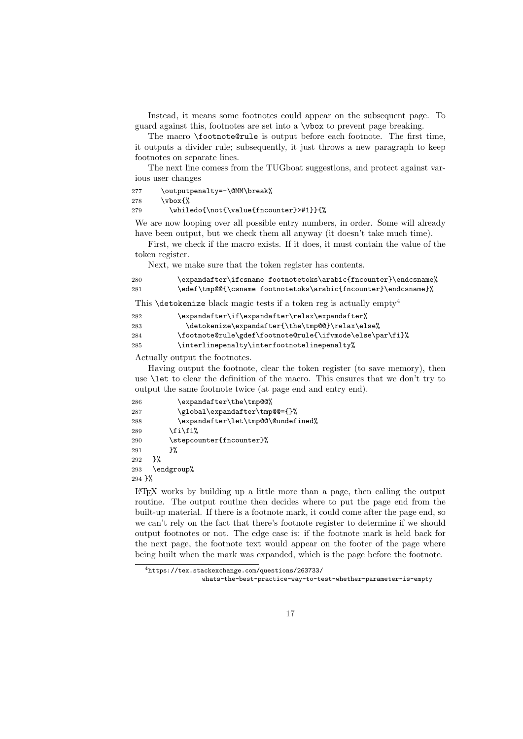Instead, it means some footnotes could appear on the subsequent page. To guard against this, footnotes are set into a \vbox to prevent page breaking.

The macro \footnote@rule is output before each footnote. The first time, it outputs a divider rule; subsequently, it just throws a new paragraph to keep footnotes on separate lines.

The next line comess from the TUGboat suggestions, and protect against various user changes

277 \outputpenalty=-\@MM\break%

278 \vbox{%

#### 279 \whiledo{\not{\value{fncounter}>#1}}{%

We are now looping over all possible entry numbers, in order. Some will already have been output, but we check them all anyway (it doesn't take much time).

First, we check if the macro exists. If it does, it must contain the value of the token register.

Next, we make sure that the token register has contents.

| 280 | \expandafter\ifcsname footnotetoks\arabic{fncounter}\endcsname% |
|-----|-----------------------------------------------------------------|
| 281 | \edef\tmp@@{\csname footnotetoks\arabic{fncounter}\endcsname}%  |

This **\detokenize** black magic tests if a token reg is actually empty<sup>4</sup>

| 282 | \expandafter\if\expandafter\relax\expandafter%           |
|-----|----------------------------------------------------------|
| 283 | \detokenize\expandafter{\the\tmp@@}\relax\else%          |
| 284 | \footnote@rule\gdef\footnote@rule{\ifvmode\else\par\fi}% |
| 285 | \interlinepenalty\interfootnotelinepenalty%              |

Actually output the footnotes.

Having output the footnote, clear the token register (to save memory), then use \let to clear the definition of the macro. This ensures that we don't try to output the same footnote twice (at page end and entry end).

| 286      | \expandafter\the\tmp@@%            |  |  |
|----------|------------------------------------|--|--|
| 287      | \global\expandafter\tmp@@={}%      |  |  |
| 288      | \expandafter\let\tmp@@\@undefined% |  |  |
| 289      | \fi\fi%                            |  |  |
| 290      | \stepcounter{fncounter}%           |  |  |
| 291      | ጉ%                                 |  |  |
| 292      | ጉ%                                 |  |  |
| 293      | \endgroup%                         |  |  |
| $294$ }% |                                    |  |  |

LATEX works by building up a little more than a page, then calling the output routine. The output routine then decides where to put the page end from the built-up material. If there is a footnote mark, it could come after the page end, so we can't rely on the fact that there's footnote register to determine if we should output footnotes or not. The edge case is: if the footnote mark is held back for the next page, the footnote text would appear on the footer of the page where being built when the mark was expanded, which is the page before the footnote.

<sup>4</sup>https://tex.stackexchange.com/questions/263733/

whats-the-best-practice-way-to-test-whether-parameter-is-empty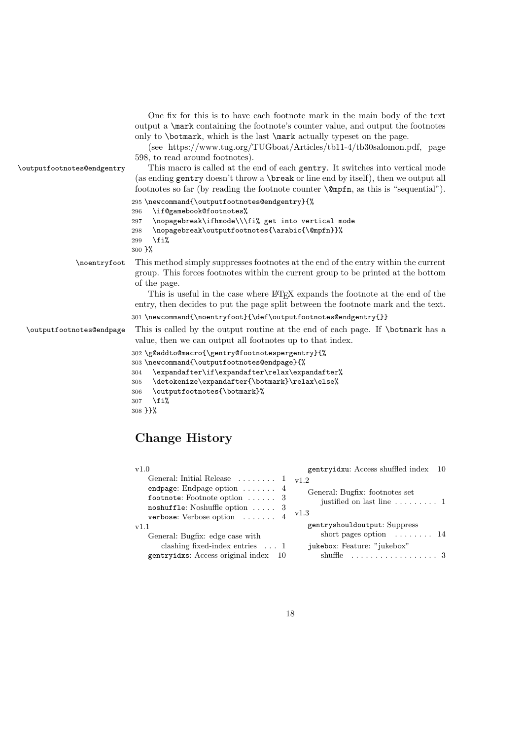| \outputfootnotes@endgentry | One fix for this is to have each footnote mark in the main body of the text<br>output a <b>\mark</b> containing the footnote's counter value, and output the footnotes<br>only to <b>\botmark</b> , which is the last <b>\mark</b> actually typeset on the page.<br>(see https://www.tug.org/TUGboat/Articles/tb11-4/tb30salomon.pdf, page<br>598, to read around footnotes).<br>This macro is called at the end of each gentry. It switches into vertical mode<br>(as ending gentry doesn't throw a \break or line end by itself), then we output all<br>footnotes so far (by reading the footnote counter $\emptyset$ mpfn, as this is "sequential"). |
|----------------------------|---------------------------------------------------------------------------------------------------------------------------------------------------------------------------------------------------------------------------------------------------------------------------------------------------------------------------------------------------------------------------------------------------------------------------------------------------------------------------------------------------------------------------------------------------------------------------------------------------------------------------------------------------------|
|                            | 295 \newcommand{\outputfootnotes@endgentry}{%<br>\if@gamebook@footnotes%<br>296<br>\nopagebreak\ifhmode\\\fi% get into vertical mode<br>297<br>\nopagebreak\outputfootnotes{\arabic{\@mpfn}}%<br>298<br>\fi%<br>299<br>300 }%                                                                                                                                                                                                                                                                                                                                                                                                                           |
| \noentryfoot               | This method simply suppresses footnotes at the end of the entry within the current<br>group. This forces footnotes within the current group to be printed at the bottom<br>of the page.<br>This is useful in the case where LAT <sub>F</sub> X expands the footnote at the end of the<br>entry, then decides to put the page split between the footnote mark and the text.<br>301 \newcommand{\noentryfoot}{\def\outputfootnotes@endgentry{}}                                                                                                                                                                                                           |
| \outputfootnotes@endpage   | This is called by the output routine at the end of each page. If \botmark has a<br>value, then we can output all footnotes up to that index.<br>302 \g@addto@macro{\gentry@footnotespergentry}{%<br>303 \newcommand{\outputfootnotes@endpage}{%<br>\expandafter\if\expandafter\relax\expandafter%<br>304<br>\detokenize\expandafter{\botmark}\relax\else%<br>305<br>\outputfootnotes{\botmark}%<br>306<br>\fi%<br>307<br>308 } }%                                                                                                                                                                                                                       |

# Change History

| v1.0                                                                                                                                                                                                                                                                                                                                | gentryidxu: Access shuffled index 10                                                                                                                                                                                                                 |
|-------------------------------------------------------------------------------------------------------------------------------------------------------------------------------------------------------------------------------------------------------------------------------------------------------------------------------------|------------------------------------------------------------------------------------------------------------------------------------------------------------------------------------------------------------------------------------------------------|
| General: Initial Release $\ldots \ldots 1$<br>endpage: Endpage option $\dots$ 4<br>footnote: Footnote option $\ldots$ . 3<br>noshuffle: Noshuffle option $\ldots$ 3<br>verbose: Verbose option  4<br>v1.1<br>General: Bugfix: edge case with<br>clashing fixed-index entries $\dots$ 1<br>gentryidxs: Access original index<br>- 10 | v1.2<br>General: Bugfix: footnotes set<br>justified on last line $\ldots \ldots \ldots 1$<br>v1.3<br>gentryshouldoutput: Suppress<br>short pages option $\dots \dots 14$<br>jukebox: Feature: "jukebox"<br>shuffle $\dots\dots\dots\dots\dots\dots3$ |
|                                                                                                                                                                                                                                                                                                                                     |                                                                                                                                                                                                                                                      |